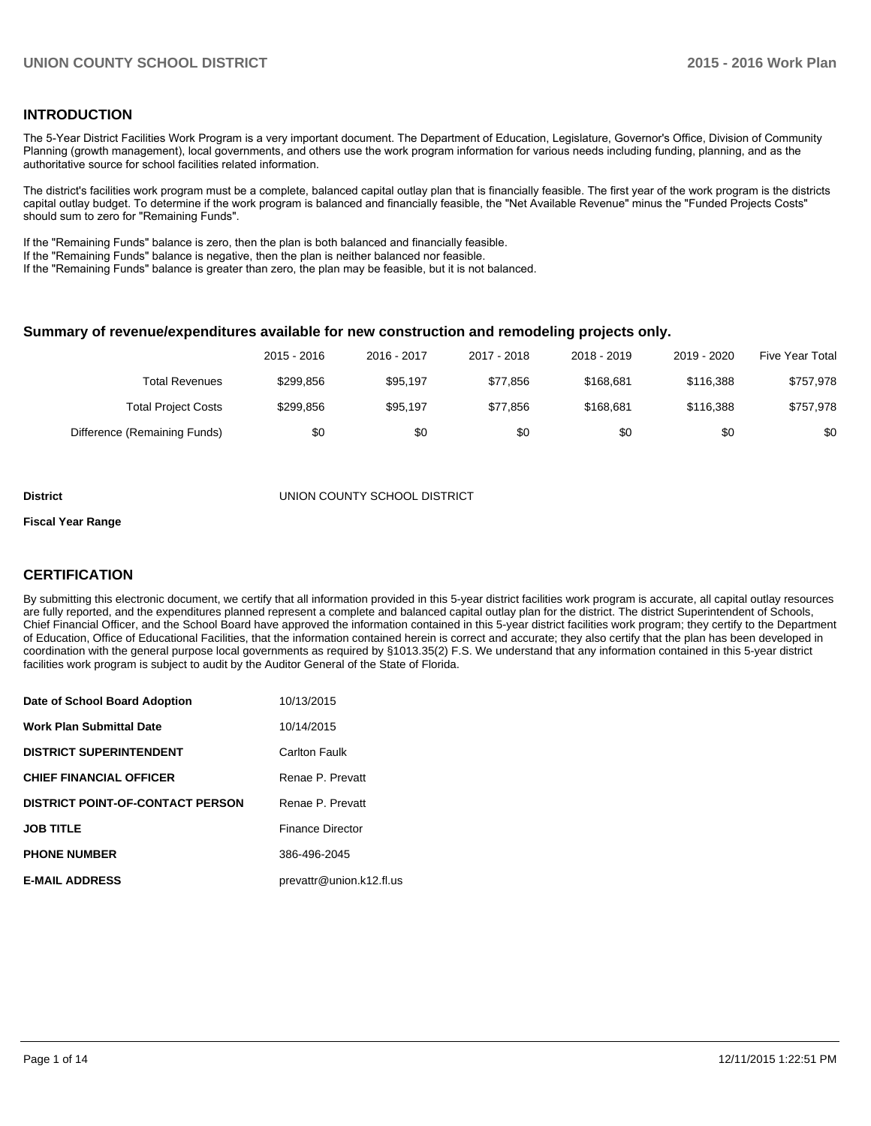## **INTRODUCTION**

The 5-Year District Facilities Work Program is a very important document. The Department of Education, Legislature, Governor's Office, Division of Community Planning (growth management), local governments, and others use the work program information for various needs including funding, planning, and as the authoritative source for school facilities related information.

The district's facilities work program must be a complete, balanced capital outlay plan that is financially feasible. The first year of the work program is the districts capital outlay budget. To determine if the work program is balanced and financially feasible, the "Net Available Revenue" minus the "Funded Projects Costs" should sum to zero for "Remaining Funds".

If the "Remaining Funds" balance is zero, then the plan is both balanced and financially feasible.

If the "Remaining Funds" balance is negative, then the plan is neither balanced nor feasible.

If the "Remaining Funds" balance is greater than zero, the plan may be feasible, but it is not balanced.

#### **Summary of revenue/expenditures available for new construction and remodeling projects only.**

|                              | 2015 - 2016 | 2016 - 2017 | 2017 - 2018 | 2018 - 2019 | 2019 - 2020 | <b>Five Year Total</b> |
|------------------------------|-------------|-------------|-------------|-------------|-------------|------------------------|
| Total Revenues               | \$299.856   | \$95.197    | \$77.856    | \$168.681   | \$116.388   | \$757,978              |
| <b>Total Project Costs</b>   | \$299.856   | \$95.197    | \$77.856    | \$168.681   | \$116.388   | \$757,978              |
| Difference (Remaining Funds) | \$0         | \$0         | \$0         | \$0         | \$0         | \$0                    |

#### **District** UNION COUNTY SCHOOL DISTRICT

#### **Fiscal Year Range**

## **CERTIFICATION**

By submitting this electronic document, we certify that all information provided in this 5-year district facilities work program is accurate, all capital outlay resources are fully reported, and the expenditures planned represent a complete and balanced capital outlay plan for the district. The district Superintendent of Schools, Chief Financial Officer, and the School Board have approved the information contained in this 5-year district facilities work program; they certify to the Department of Education, Office of Educational Facilities, that the information contained herein is correct and accurate; they also certify that the plan has been developed in coordination with the general purpose local governments as required by §1013.35(2) F.S. We understand that any information contained in this 5-year district facilities work program is subject to audit by the Auditor General of the State of Florida.

| Date of School Board Adoption           | 10/13/2015               |
|-----------------------------------------|--------------------------|
| <b>Work Plan Submittal Date</b>         | 10/14/2015               |
| <b>DISTRICT SUPERINTENDENT</b>          | <b>Carlton Faulk</b>     |
| <b>CHIEF FINANCIAL OFFICER</b>          | Renae P. Prevatt         |
| <b>DISTRICT POINT-OF-CONTACT PERSON</b> | Renae P. Prevatt         |
| <b>JOB TITLE</b>                        | <b>Finance Director</b>  |
| <b>PHONE NUMBER</b>                     | 386-496-2045             |
| <b>E-MAIL ADDRESS</b>                   | prevattr@union.k12.fl.us |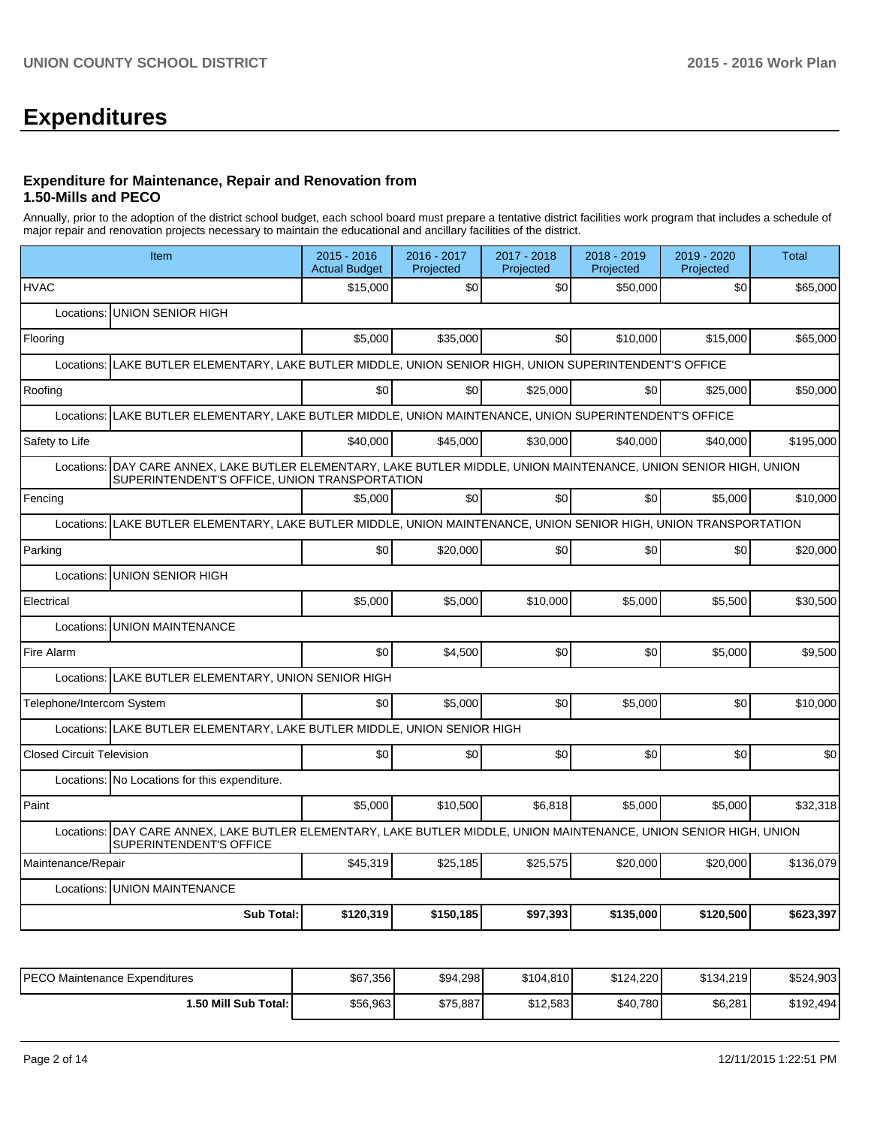# **Expenditures**

#### **Expenditure for Maintenance, Repair and Renovation from 1.50-Mills and PECO**

Annually, prior to the adoption of the district school budget, each school board must prepare a tentative district facilities work program that includes a schedule of major repair and renovation projects necessary to maintain the educational and ancillary facilities of the district.

| Item                                                                                                                                                                 | 2015 - 2016<br><b>Actual Budget</b>                                                          | 2016 - 2017<br>Projected | 2017 - 2018<br>Projected | 2018 - 2019<br>Projected | 2019 - 2020<br>Projected | <b>Total</b> |  |  |  |  |
|----------------------------------------------------------------------------------------------------------------------------------------------------------------------|----------------------------------------------------------------------------------------------|--------------------------|--------------------------|--------------------------|--------------------------|--------------|--|--|--|--|
| <b>HVAC</b>                                                                                                                                                          | \$15,000                                                                                     | \$0                      | \$0                      | \$50,000                 | \$0                      | \$65,000     |  |  |  |  |
| Locations:<br><b>UNION SENIOR HIGH</b>                                                                                                                               |                                                                                              |                          |                          |                          |                          |              |  |  |  |  |
| Flooring                                                                                                                                                             | \$5,000                                                                                      | \$35,000                 | \$0                      | \$10,000                 | \$15,000                 | \$65,000     |  |  |  |  |
| Locations:                                                                                                                                                           | LAKE BUTLER ELEMENTARY, LAKE BUTLER MIDDLE, UNION SENIOR HIGH, UNION SUPERINTENDENT'S OFFICE |                          |                          |                          |                          |              |  |  |  |  |
| Roofing                                                                                                                                                              | \$0                                                                                          | \$0                      | \$25,000                 | \$0                      | \$25,000                 | \$50,000     |  |  |  |  |
| LAKE BUTLER ELEMENTARY, LAKE BUTLER MIDDLE, UNION MAINTENANCE, UNION SUPERINTENDENT'S OFFICE<br>Locations:                                                           |                                                                                              |                          |                          |                          |                          |              |  |  |  |  |
| Safety to Life                                                                                                                                                       | \$40,000                                                                                     | \$45.000                 | \$30,000                 | \$40,000                 | \$40,000                 | \$195,000    |  |  |  |  |
| Locations:  DAY CARE ANNEX, LAKE BUTLER ELEMENTARY, LAKE BUTLER MIDDLE, UNION MAINTENANCE, UNION SENIOR HIGH, UNION<br>SUPERINTENDENT'S OFFICE, UNION TRANSPORTATION |                                                                                              |                          |                          |                          |                          |              |  |  |  |  |
| Fencing                                                                                                                                                              | \$5,000                                                                                      | \$0                      | \$0                      | \$0                      | \$5,000                  | \$10,000     |  |  |  |  |
| LAKE BUTLER ELEMENTARY, LAKE BUTLER MIDDLE, UNION MAINTENANCE, UNION SENIOR HIGH, UNION TRANSPORTATION<br>Locations:                                                 |                                                                                              |                          |                          |                          |                          |              |  |  |  |  |
| Parking                                                                                                                                                              | \$0                                                                                          | \$20,000                 | \$0                      | \$0                      | \$0                      | \$20,000     |  |  |  |  |
| Locations:<br><b>UNION SENIOR HIGH</b>                                                                                                                               |                                                                                              |                          |                          |                          |                          |              |  |  |  |  |
| Electrical                                                                                                                                                           | \$5,000                                                                                      | \$5.000                  | \$10,000                 | \$5,000                  | \$5.500                  | \$30,500     |  |  |  |  |
| <b>UNION MAINTENANCE</b><br>Locations:                                                                                                                               |                                                                                              |                          |                          |                          |                          |              |  |  |  |  |
| Fire Alarm                                                                                                                                                           | \$0                                                                                          | \$4.500                  | \$0                      | \$0                      | \$5.000                  | \$9.500      |  |  |  |  |
| Locations: LAKE BUTLER ELEMENTARY, UNION SENIOR HIGH                                                                                                                 |                                                                                              |                          |                          |                          |                          |              |  |  |  |  |
| Telephone/Intercom System                                                                                                                                            | \$0                                                                                          | \$5,000                  | \$0                      | \$5,000                  | \$0                      | \$10,000     |  |  |  |  |
| Locations: LAKE BUTLER ELEMENTARY, LAKE BUTLER MIDDLE, UNION SENIOR HIGH                                                                                             |                                                                                              |                          |                          |                          |                          |              |  |  |  |  |
| <b>Closed Circuit Television</b>                                                                                                                                     | \$0                                                                                          | \$0                      | \$0                      | \$0                      | \$0                      | \$0          |  |  |  |  |
| Locations: No Locations for this expenditure.                                                                                                                        |                                                                                              |                          |                          |                          |                          |              |  |  |  |  |
| Paint                                                                                                                                                                | \$5,000                                                                                      | \$10.500                 | \$6,818                  | \$5,000                  | \$5.000                  | \$32,318     |  |  |  |  |
| DAY CARE ANNEX, LAKE BUTLER ELEMENTARY, LAKE BUTLER MIDDLE, UNION MAINTENANCE, UNION SENIOR HIGH, UNION<br>Locations:<br>SUPERINTENDENT'S OFFICE                     |                                                                                              |                          |                          |                          |                          |              |  |  |  |  |
| Maintenance/Repair                                                                                                                                                   | \$45,319                                                                                     | \$25,185                 | \$25,575                 | \$20,000                 | \$20,000                 | \$136,079    |  |  |  |  |
| <b>UNION MAINTENANCE</b><br>Locations:                                                                                                                               |                                                                                              |                          |                          |                          |                          |              |  |  |  |  |
| <b>Sub Total:</b>                                                                                                                                                    | \$120,319                                                                                    | \$150,185                | \$97,393                 | \$135,000                | \$120,500                | \$623,397    |  |  |  |  |

| PECO Maintenance Expenditures | \$67,356 | \$94,298 | \$104,810 | \$124,220 | \$134,219 | \$524,903 |
|-------------------------------|----------|----------|-----------|-----------|-----------|-----------|
| 1.50 Mill Sub Total: I        | \$56,963 | \$75,887 | \$12,583  | \$40,780  | \$6,281   | \$192,494 |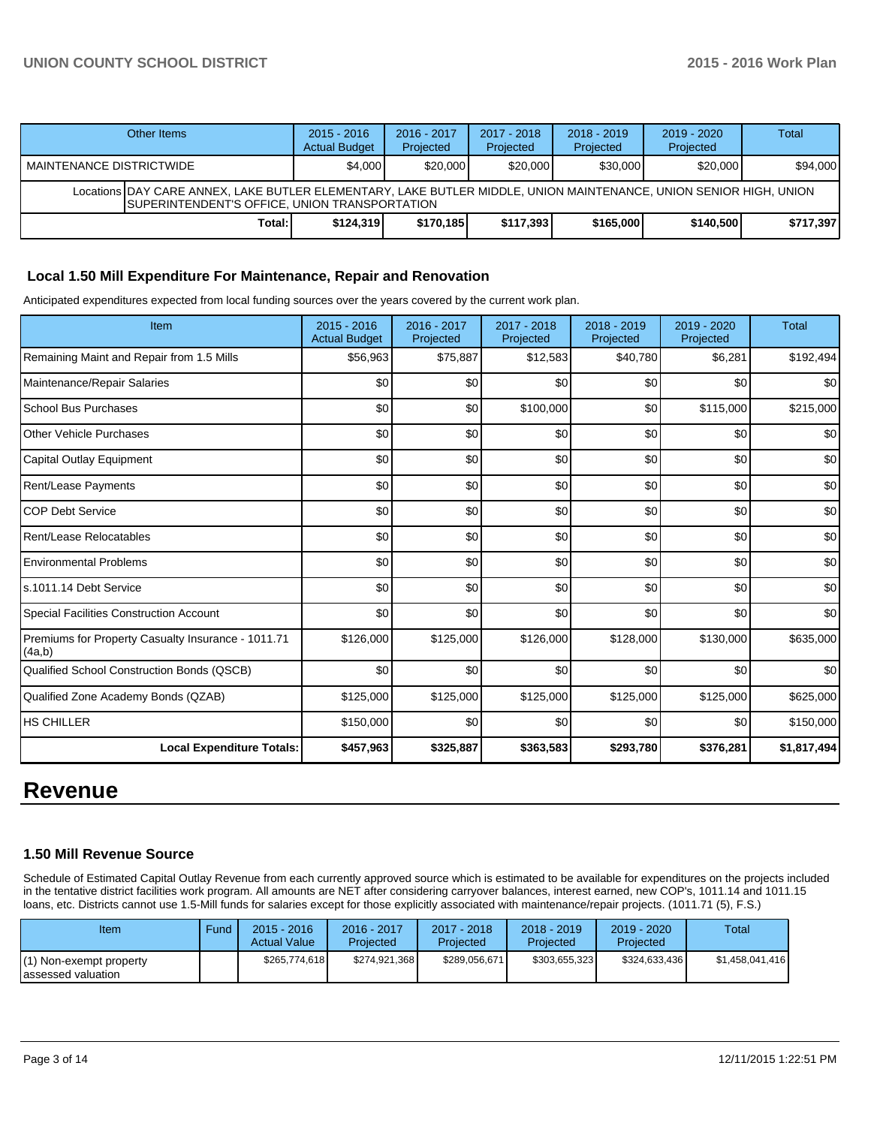## **UNION COUNTY SCHOOL DISTRICT 2015 - 2016 Work Plan**

| Other Items                                                                                                                                                         | $2015 - 2016$<br><b>Actual Budget</b> | $2016 - 2017$<br>Projected | 2017 - 2018<br>Projected | $2018 - 2019$<br>Projected | $2019 - 2020$<br>Projected | Total     |  |  |  |
|---------------------------------------------------------------------------------------------------------------------------------------------------------------------|---------------------------------------|----------------------------|--------------------------|----------------------------|----------------------------|-----------|--|--|--|
| MAINTENANCE DISTRICTWIDE                                                                                                                                            | \$4,000                               | \$20,000                   | \$20,000                 | \$30,000                   | \$20,000                   | \$94,000  |  |  |  |
| Locations DAY CARE ANNEX, LAKE BUTLER ELEMENTARY, LAKE BUTLER MIDDLE, UNION MAINTENANCE, UNION SENIOR HIGH, UNION<br>ISUPERINTENDENT'S OFFICE. UNION TRANSPORTATION |                                       |                            |                          |                            |                            |           |  |  |  |
| Total:                                                                                                                                                              | \$124.319                             | \$170.185                  | \$117,393                | \$165,000                  | \$140,500                  | \$717,397 |  |  |  |

## **Local 1.50 Mill Expenditure For Maintenance, Repair and Renovation**

Anticipated expenditures expected from local funding sources over the years covered by the current work plan.

| Item                                                         | $2015 - 2016$<br><b>Actual Budget</b> | 2016 - 2017<br>Projected | 2017 - 2018<br>Projected | 2018 - 2019<br>Projected | 2019 - 2020<br>Projected | <b>Total</b> |
|--------------------------------------------------------------|---------------------------------------|--------------------------|--------------------------|--------------------------|--------------------------|--------------|
| Remaining Maint and Repair from 1.5 Mills                    | \$56,963                              | \$75,887                 | \$12,583                 | \$40,780                 | \$6,281                  | \$192,494    |
| Maintenance/Repair Salaries                                  | \$0                                   | \$0                      | \$0                      | \$0                      | \$0                      | \$0          |
| <b>School Bus Purchases</b>                                  | \$0                                   | \$0                      | \$100,000                | \$0                      | \$115,000                | \$215,000    |
| Other Vehicle Purchases                                      | \$0                                   | \$0                      | \$0                      | \$0                      | \$0                      | \$0          |
| Capital Outlay Equipment                                     | \$0                                   | \$0                      | \$0                      | \$0                      | \$0                      | \$0          |
| Rent/Lease Payments                                          | \$0                                   | \$0                      | \$0                      | \$0                      | \$0                      | \$0          |
| <b>COP Debt Service</b>                                      | \$0                                   | \$0                      | \$0                      | \$0                      | \$0                      | \$0          |
| Rent/Lease Relocatables                                      | \$0                                   | \$0                      | \$0                      | \$0                      | \$0                      | \$0          |
| <b>Environmental Problems</b>                                | \$0                                   | \$0                      | \$0                      | \$0                      | \$0                      | \$0          |
| ls.1011.14 Debt Service                                      | \$0                                   | \$0                      | \$0                      | \$0                      | \$0                      | \$0          |
| <b>Special Facilities Construction Account</b>               | \$0                                   | \$0                      | \$0                      | \$0                      | \$0                      | \$0          |
| Premiums for Property Casualty Insurance - 1011.71<br>(4a,b) | \$126,000                             | \$125,000                | \$126,000                | \$128,000                | \$130,000                | \$635,000    |
| Qualified School Construction Bonds (QSCB)                   | \$0                                   | \$0                      | \$0                      | \$0                      | \$0                      | \$0          |
| Qualified Zone Academy Bonds (QZAB)                          | \$125,000                             | \$125,000                | \$125,000                | \$125,000                | \$125,000                | \$625,000    |
| <b>HS CHILLER</b>                                            | \$150,000                             | \$0                      | \$0                      | \$0                      | \$0                      | \$150,000    |
| <b>Local Expenditure Totals:</b>                             | \$457,963                             | \$325,887                | \$363,583                | \$293,780                | \$376,281                | \$1,817,494  |

## **Revenue**

## **1.50 Mill Revenue Source**

Schedule of Estimated Capital Outlay Revenue from each currently approved source which is estimated to be available for expenditures on the projects included in the tentative district facilities work program. All amounts are NET after considering carryover balances, interest earned, new COP's, 1011.14 and 1011.15 loans, etc. Districts cannot use 1.5-Mill funds for salaries except for those explicitly associated with maintenance/repair projects. (1011.71 (5), F.S.)

| Item                                           | Fund | $2015 - 2016$<br><b>Actual Value</b> | 2016 - 2017<br>Projected | $2017 - 2018$<br>Projected | 2018 - 2019<br>Projected | $2019 - 2020$<br>Projected | Total           |
|------------------------------------------------|------|--------------------------------------|--------------------------|----------------------------|--------------------------|----------------------------|-----------------|
| (1) Non-exempt property<br>Iassessed valuation |      | \$265,774,618                        | \$274,921,368            | \$289,056,671              | \$303,655,323            | \$324,633,436              | \$1,458,041,416 |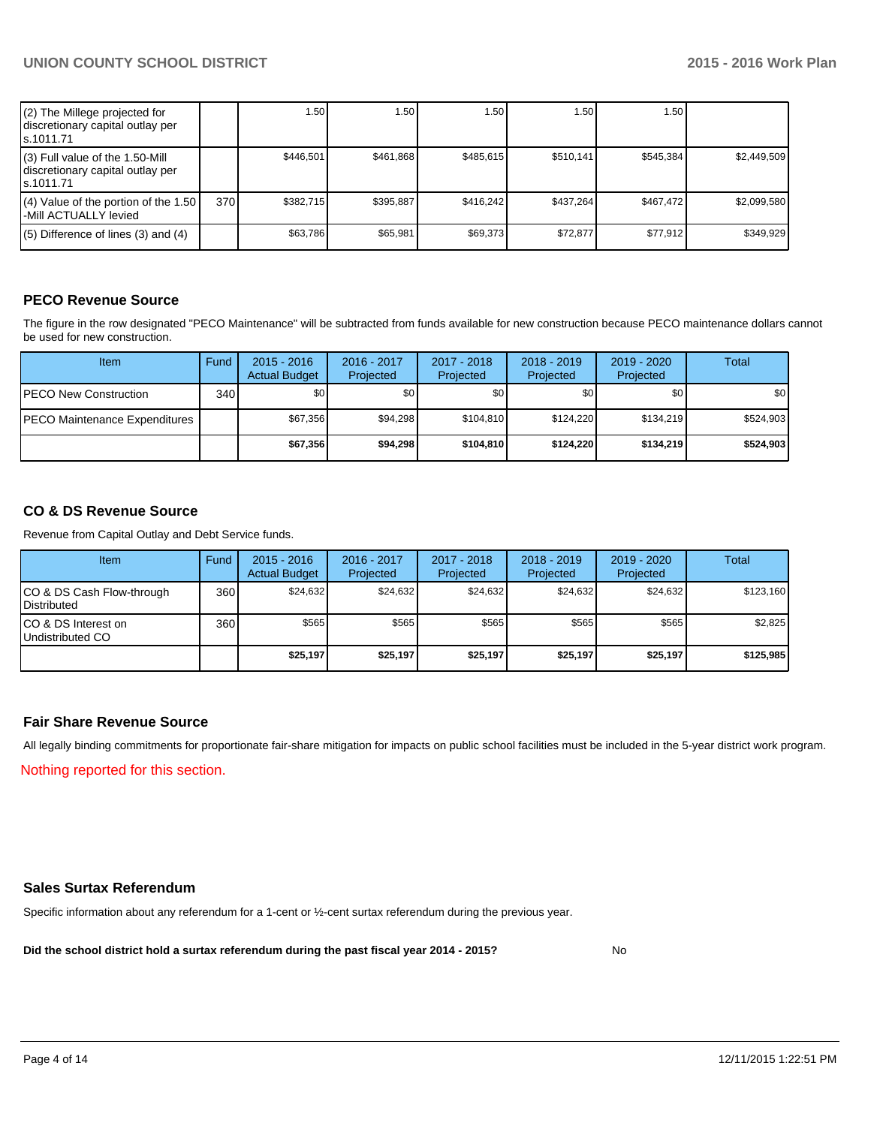| (2) The Millege projected for<br>discretionary capital outlay per<br>ls.1011.71   |     | 1.50 <sub>1</sub> | 1.50      | ا 50. ا   | 1.50      | 1.50 l    |             |
|-----------------------------------------------------------------------------------|-----|-------------------|-----------|-----------|-----------|-----------|-------------|
| (3) Full value of the 1.50-Mill<br>discretionary capital outlay per<br>ls.1011.71 |     | \$446.501         | \$461.868 | \$485.615 | \$510.141 | \$545.384 | \$2.449.509 |
| $(4)$ Value of the portion of the 1.50<br>l-Mill ACTUALLY levied                  | 370 | \$382.715         | \$395.887 | \$416.242 | \$437.264 | \$467.472 | \$2.099.580 |
| $(5)$ Difference of lines $(3)$ and $(4)$                                         |     | \$63.786          | \$65.981  | \$69.373  | \$72.877  | \$77.912  | \$349.929   |

## **PECO Revenue Source**

The figure in the row designated "PECO Maintenance" will be subtracted from funds available for new construction because PECO maintenance dollars cannot be used for new construction.

| <b>Item</b>                          | Fund | $2015 - 2016$<br><b>Actual Budget</b> | 2016 - 2017<br>Projected | 2017 - 2018<br>Projected | $2018 - 2019$<br>Projected | $2019 - 2020$<br>Projected | Total            |
|--------------------------------------|------|---------------------------------------|--------------------------|--------------------------|----------------------------|----------------------------|------------------|
| <b>PECO New Construction</b>         | 340  | \$0 <sub>0</sub>                      | \$0                      | \$0                      | \$0                        | \$0 I                      | \$0 <sub>1</sub> |
| <b>PECO Maintenance Expenditures</b> |      | \$67.356                              | \$94.298                 | \$104.810                | \$124.220                  | \$134.219                  | \$524.903        |
|                                      |      | \$67.356                              | \$94,298                 | \$104.810                | \$124.220                  | \$134.219                  | \$524,903        |

## **CO & DS Revenue Source**

Revenue from Capital Outlay and Debt Service funds.

| Item                                              | Fund | $2015 - 2016$<br><b>Actual Budget</b> | 2016 - 2017<br>Projected | $2017 - 2018$<br>Projected | $2018 - 2019$<br>Projected | $2019 - 2020$<br>Projected | Total     |
|---------------------------------------------------|------|---------------------------------------|--------------------------|----------------------------|----------------------------|----------------------------|-----------|
| CO & DS Cash Flow-through<br><b>I</b> Distributed | 360  | \$24.632                              | \$24.632                 | \$24.632                   | \$24.632                   | \$24.632                   | \$123,160 |
| ICO & DS Interest on<br>Undistributed CO          | 360  | \$565                                 | \$565                    | \$565                      | \$565                      | \$565                      | \$2,825   |
|                                                   |      | \$25,197                              | \$25,197                 | \$25,197                   | \$25,197                   | \$25,197                   | \$125,985 |

### **Fair Share Revenue Source**

Nothing reported for this section. All legally binding commitments for proportionate fair-share mitigation for impacts on public school facilities must be included in the 5-year district work program.

### **Sales Surtax Referendum**

Specific information about any referendum for a 1-cent or ½-cent surtax referendum during the previous year.

**Did the school district hold a surtax referendum during the past fiscal year 2014 - 2015?**

No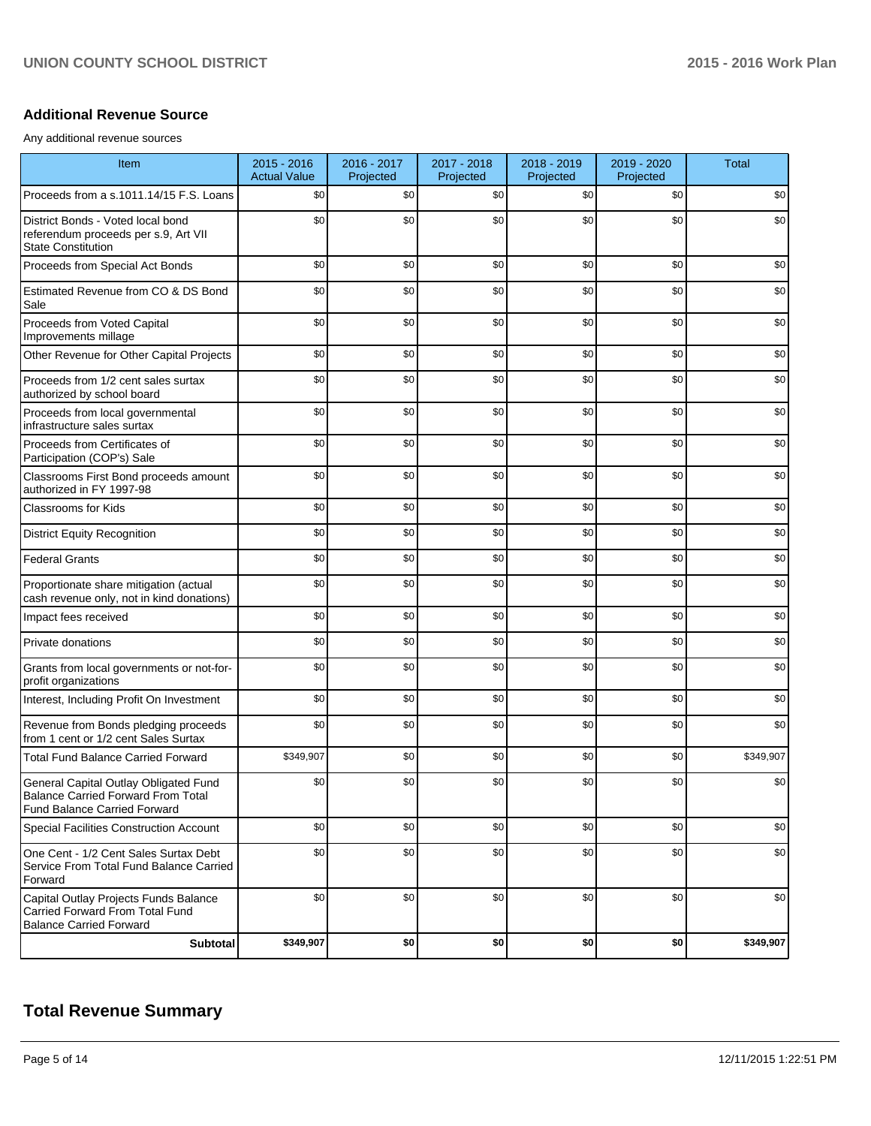## **Additional Revenue Source**

Any additional revenue sources

| Item                                                                                                               | $2015 - 2016$<br><b>Actual Value</b> | 2016 - 2017<br>Projected | 2017 - 2018<br>Projected | 2018 - 2019<br>Projected | 2019 - 2020<br>Projected | <b>Total</b> |
|--------------------------------------------------------------------------------------------------------------------|--------------------------------------|--------------------------|--------------------------|--------------------------|--------------------------|--------------|
| Proceeds from a s.1011.14/15 F.S. Loans                                                                            | \$0                                  | \$0                      | \$0                      | \$0                      | \$0                      | \$0          |
| District Bonds - Voted local bond<br>referendum proceeds per s.9, Art VII<br><b>State Constitution</b>             | \$0                                  | \$0                      | \$0                      | \$0                      | \$0                      | \$0          |
| Proceeds from Special Act Bonds                                                                                    | \$0                                  | \$0                      | \$0                      | \$0                      | \$0                      | \$0          |
| Estimated Revenue from CO & DS Bond<br>Sale                                                                        | \$0                                  | \$0                      | \$0                      | \$0                      | \$0                      | \$0          |
| Proceeds from Voted Capital<br>Improvements millage                                                                | \$0                                  | \$0                      | \$0                      | \$0                      | \$0                      | \$0          |
| Other Revenue for Other Capital Projects                                                                           | \$0                                  | \$0                      | \$0                      | \$0                      | \$0                      | \$0          |
| Proceeds from 1/2 cent sales surtax<br>authorized by school board                                                  | \$0                                  | \$0                      | \$0                      | \$0                      | \$0                      | \$0          |
| Proceeds from local governmental<br>infrastructure sales surtax                                                    | \$0                                  | \$0                      | \$0                      | \$0                      | \$0                      | \$0          |
| Proceeds from Certificates of<br>Participation (COP's) Sale                                                        | \$0                                  | \$0                      | \$0                      | \$0                      | \$0                      | \$0          |
| Classrooms First Bond proceeds amount<br>authorized in FY 1997-98                                                  | \$0                                  | \$0                      | \$0                      | \$0                      | \$0                      | \$0          |
| <b>Classrooms for Kids</b>                                                                                         | \$0                                  | \$0                      | \$0                      | \$0                      | \$0                      | \$0          |
| <b>District Equity Recognition</b>                                                                                 | \$0                                  | \$0                      | \$0                      | \$0                      | \$0                      | \$0          |
| <b>Federal Grants</b>                                                                                              | \$0                                  | \$0                      | \$0                      | \$0                      | \$0                      | \$0          |
| Proportionate share mitigation (actual<br>cash revenue only, not in kind donations)                                | \$0                                  | \$0                      | \$0                      | \$0                      | \$0                      | \$0          |
| Impact fees received                                                                                               | \$0                                  | \$0                      | \$0                      | \$0                      | \$0                      | \$0          |
| Private donations                                                                                                  | \$0                                  | \$0                      | \$0                      | \$0                      | \$0                      | \$0          |
| Grants from local governments or not-for-<br>profit organizations                                                  | \$0                                  | \$0                      | \$0                      | \$0                      | \$0                      | \$0          |
| Interest, Including Profit On Investment                                                                           | \$0                                  | \$0                      | \$0                      | \$0                      | \$0                      | \$0          |
| Revenue from Bonds pledging proceeds<br>from 1 cent or 1/2 cent Sales Surtax                                       | \$0                                  | \$0                      | \$0                      | \$0                      | \$0                      | \$0          |
| <b>Total Fund Balance Carried Forward</b>                                                                          | \$349,907                            | \$0                      | \$0                      | \$0                      | \$0                      | \$349,907    |
| General Capital Outlay Obligated Fund<br>Balance Carried Forward From Total<br><b>Fund Balance Carried Forward</b> | \$0                                  | \$0                      | \$0                      | \$0                      | \$0                      | \$0          |
| Special Facilities Construction Account                                                                            | \$0                                  | \$0                      | \$0                      | \$0                      | \$0                      | \$0          |
| One Cent - 1/2 Cent Sales Surtax Debt<br>Service From Total Fund Balance Carried<br>Forward                        | \$0                                  | \$0                      | \$0                      | \$0                      | \$0                      | \$0          |
| Capital Outlay Projects Funds Balance<br>Carried Forward From Total Fund<br><b>Balance Carried Forward</b>         | \$0                                  | \$0                      | \$0                      | \$0                      | \$0                      | \$0          |
| Subtotal                                                                                                           | \$349,907                            | \$0                      | \$0                      | \$0                      | \$0                      | \$349,907    |

## **Total Revenue Summary**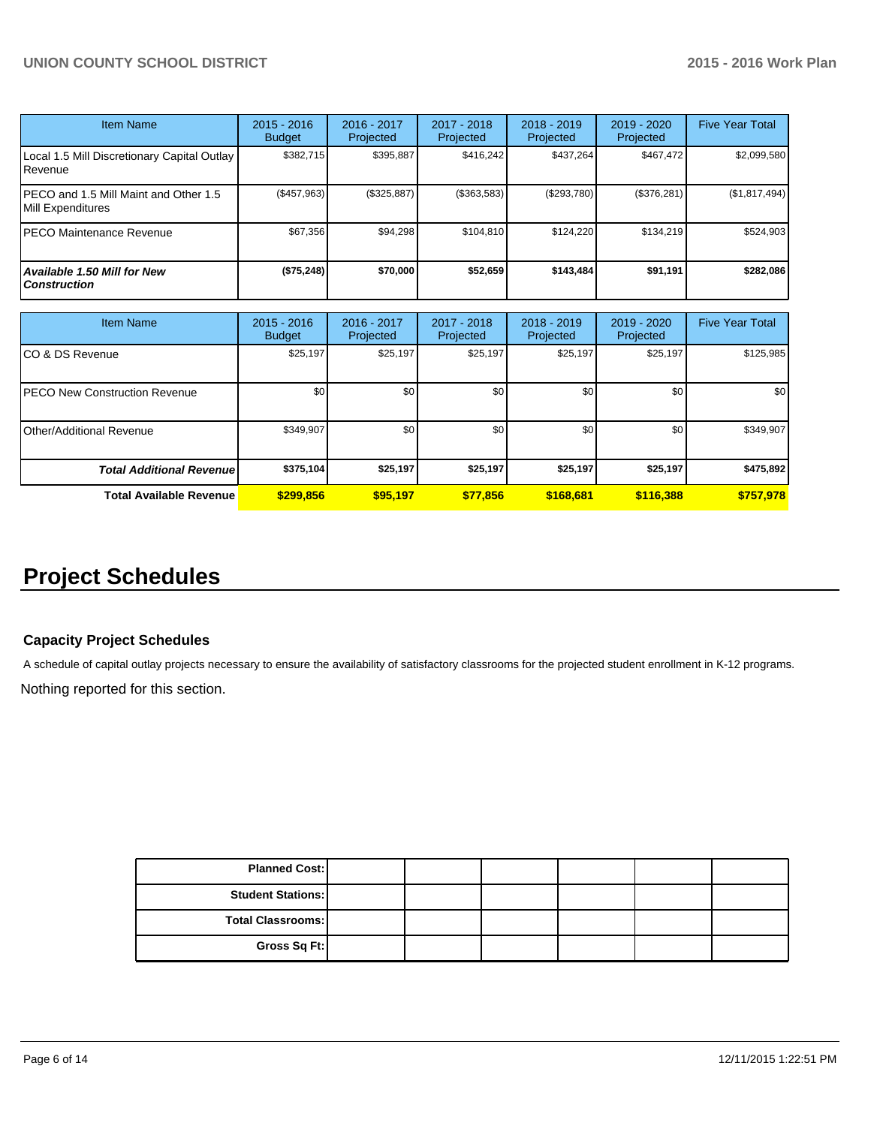| <b>Item Name</b>                                           | $2015 - 2016$<br><b>Budget</b> | 2016 - 2017<br>Projected | 2017 - 2018<br><b>Projected</b> | $2018 - 2019$<br>Projected | $2019 - 2020$<br>Projected | <b>Five Year Total</b> |
|------------------------------------------------------------|--------------------------------|--------------------------|---------------------------------|----------------------------|----------------------------|------------------------|
| Local 1.5 Mill Discretionary Capital Outlay<br>Revenue     | \$382.715                      | \$395,887                | \$416.242                       | \$437.264                  | \$467,472                  | \$2,099,580            |
| PECO and 1.5 Mill Maint and Other 1.5<br>Mill Expenditures | (S457.963)                     | (S325.887)               | (\$363,583)                     | (S293.780)                 | (\$376,281)                | (\$1,817,494)          |
| PECO Maintenance Revenue                                   | \$67,356                       | \$94,298                 | \$104.810                       | \$124.220                  | \$134.219                  | \$524.903              |
| Available 1.50 Mill for New<br><b>Construction</b>         | (\$75,248)                     | \$70,000                 | \$52,659                        | \$143,484                  | \$91,191                   | \$282,086              |

| <b>Item Name</b>                      | $2015 - 2016$<br><b>Budget</b> | 2016 - 2017<br>Projected | 2017 - 2018<br>Projected | $2018 - 2019$<br>Projected | 2019 - 2020<br>Projected | <b>Five Year Total</b> |
|---------------------------------------|--------------------------------|--------------------------|--------------------------|----------------------------|--------------------------|------------------------|
| ICO & DS Revenue                      | \$25,197                       | \$25,197                 | \$25,197                 | \$25,197                   | \$25,197                 | \$125,985              |
| <b>IPECO New Construction Revenue</b> | \$0                            | \$0                      | \$0                      | \$0                        | \$0                      | \$0                    |
| <b>I</b> Other/Additional Revenue     | \$349,907                      | \$0                      | \$0                      | \$0                        | \$0 <sub>1</sub>         | \$349,907              |
| <b>Total Additional Revenuel</b>      | \$375,104                      | \$25,197                 | \$25,197                 | \$25,197                   | \$25,197                 | \$475,892              |
| <b>Total Available Revenue</b>        | \$299.856                      | \$95,197                 | \$77,856                 | \$168,681                  | \$116,388                | \$757,978              |

# **Project Schedules**

### **Capacity Project Schedules**

A schedule of capital outlay projects necessary to ensure the availability of satisfactory classrooms for the projected student enrollment in K-12 programs.

Nothing reported for this section.

| <b>Planned Cost:</b>     |  |  |  |
|--------------------------|--|--|--|
| <b>Student Stations:</b> |  |  |  |
| <b>Total Classrooms:</b> |  |  |  |
| Gross Sq Ft:             |  |  |  |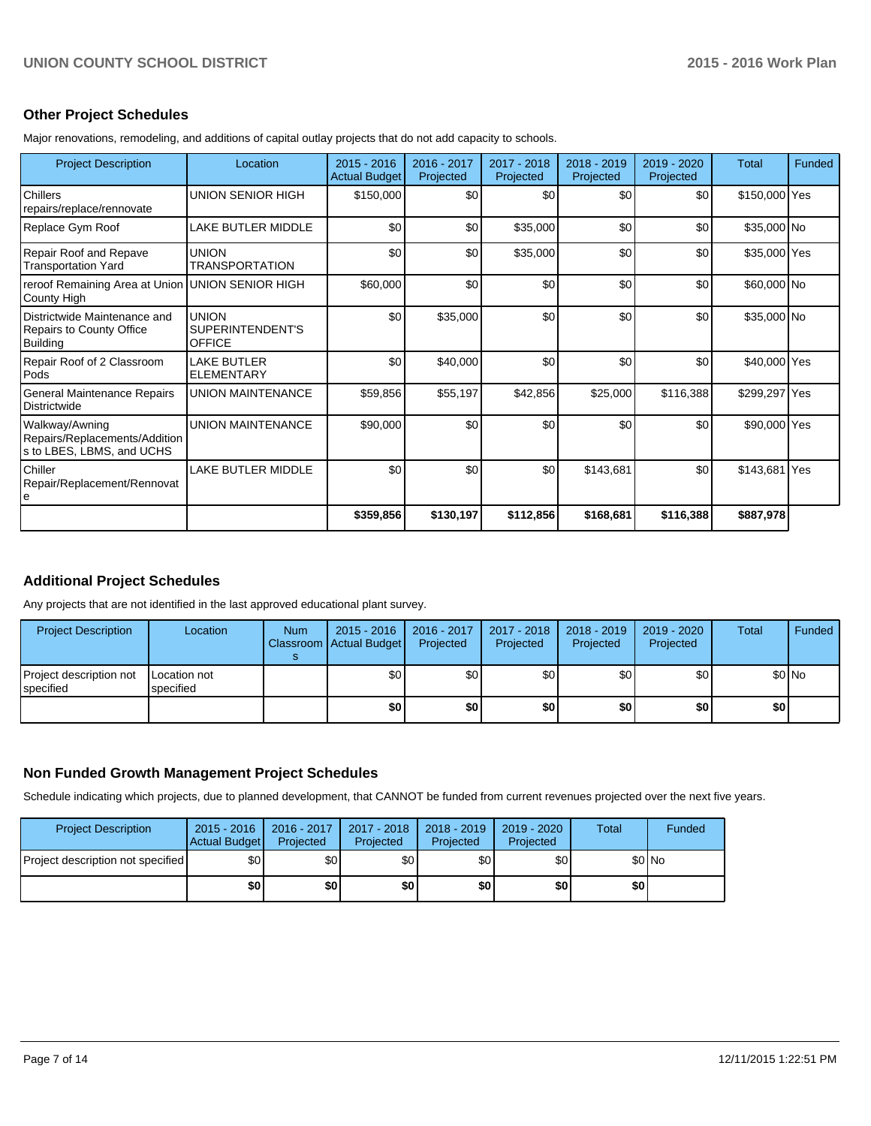## **Other Project Schedules**

Major renovations, remodeling, and additions of capital outlay projects that do not add capacity to schools.

| <b>Project Description</b>                                                         | Location                                          | $2015 - 2016$<br><b>Actual Budget</b> | $2016 - 2017$<br>Projected | 2017 - 2018<br>Projected | 2018 - 2019<br>Projected | $2019 - 2020$<br>Projected | Total         | Funded |
|------------------------------------------------------------------------------------|---------------------------------------------------|---------------------------------------|----------------------------|--------------------------|--------------------------|----------------------------|---------------|--------|
| Chillers<br>repairs/replace/rennovate                                              | UNION SENIOR HIGH                                 | \$150,000                             | \$0                        | \$0                      | \$0                      | \$0                        | \$150,000 Yes |        |
| Replace Gym Roof                                                                   | LAKE BUTLER MIDDLE                                | \$0                                   | \$0                        | \$35,000                 | \$0                      | \$0                        | \$35,000 No   |        |
| <b>Repair Roof and Repave</b><br><b>Transportation Yard</b>                        | <b>UNION</b><br><b>TRANSPORTATION</b>             | \$0                                   | \$0                        | \$35,000                 | \$0                      | \$0                        | \$35,000 Yes  |        |
| reroof Remaining Area at Union UNION SENIOR HIGH<br>County High                    |                                                   | \$60,000                              | \$0                        | \$0                      | \$0                      | \$0                        | \$60,000 No   |        |
| Districtwide Maintenance and<br><b>Repairs to County Office</b><br><b>Building</b> | <b>UNION</b><br>SUPERINTENDENT'S<br><b>OFFICE</b> | \$0                                   | \$35,000                   | \$0                      | \$0                      | \$0                        | \$35,000 No   |        |
| Repair Roof of 2 Classroom<br>Pods                                                 | <b>LAKE BUTLER</b><br><b>ELEMENTARY</b>           | \$0                                   | \$40,000                   | \$0                      | \$0                      | \$0                        | \$40,000 Yes  |        |
| General Maintenance Repairs<br>Districtwide                                        | <b>UNION MAINTENANCE</b>                          | \$59,856                              | \$55,197                   | \$42,856                 | \$25,000                 | \$116,388                  | \$299,297 Yes |        |
| Walkway/Awning<br>Repairs/Replacements/Addition<br>s to LBES, LBMS, and UCHS       | <b>UNION MAINTENANCE</b>                          | \$90,000                              | \$0                        | \$0                      | \$0                      | \$0                        | \$90,000 Yes  |        |
| Chiller<br>Repair/Replacement/Rennovat<br>le                                       | <b>LAKE BUTLER MIDDLE</b>                         | \$0                                   | \$0                        | \$0                      | \$143,681                | \$0                        | \$143,681 Yes |        |
|                                                                                    |                                                   | \$359,856                             | \$130,197                  | \$112,856                | \$168,681                | \$116,388                  | \$887,978     |        |

## **Additional Project Schedules**

Any projects that are not identified in the last approved educational plant survey.

| <b>Project Description</b>           | Location                  | <b>Num</b> | $2015 - 2016$<br>Classroom Actual Budget | $2016 - 2017$<br>Projected | $2017 - 2018$<br>Projected | 2018 - 2019<br>Projected | 2019 - 2020<br>Projected | Total | Funded |
|--------------------------------------|---------------------------|------------|------------------------------------------|----------------------------|----------------------------|--------------------------|--------------------------|-------|--------|
| Project description not<br>specified | Location not<br>specified |            | \$0                                      | \$0l                       | \$0                        | \$0 I                    | \$0                      |       | \$0 No |
|                                      |                           |            | \$0                                      | \$0                        | \$0                        | \$0 I                    | \$0                      | \$O   |        |

## **Non Funded Growth Management Project Schedules**

Schedule indicating which projects, due to planned development, that CANNOT be funded from current revenues projected over the next five years.

| <b>Project Description</b>        | $2015 - 2016$<br>Actual Budget | $2016 - 2017$<br>Projected | 2017 - 2018<br>Projected | 2018 - 2019<br>Projected | 2019 - 2020<br>Projected | Total | Funded |
|-----------------------------------|--------------------------------|----------------------------|--------------------------|--------------------------|--------------------------|-------|--------|
| Project description not specified | \$0                            | \$0 <sub>1</sub>           | \$0 I                    | \$0l                     | \$0                      |       | \$0 No |
|                                   | \$0                            | \$0                        | \$0                      | \$0                      | \$0                      | \$0 I |        |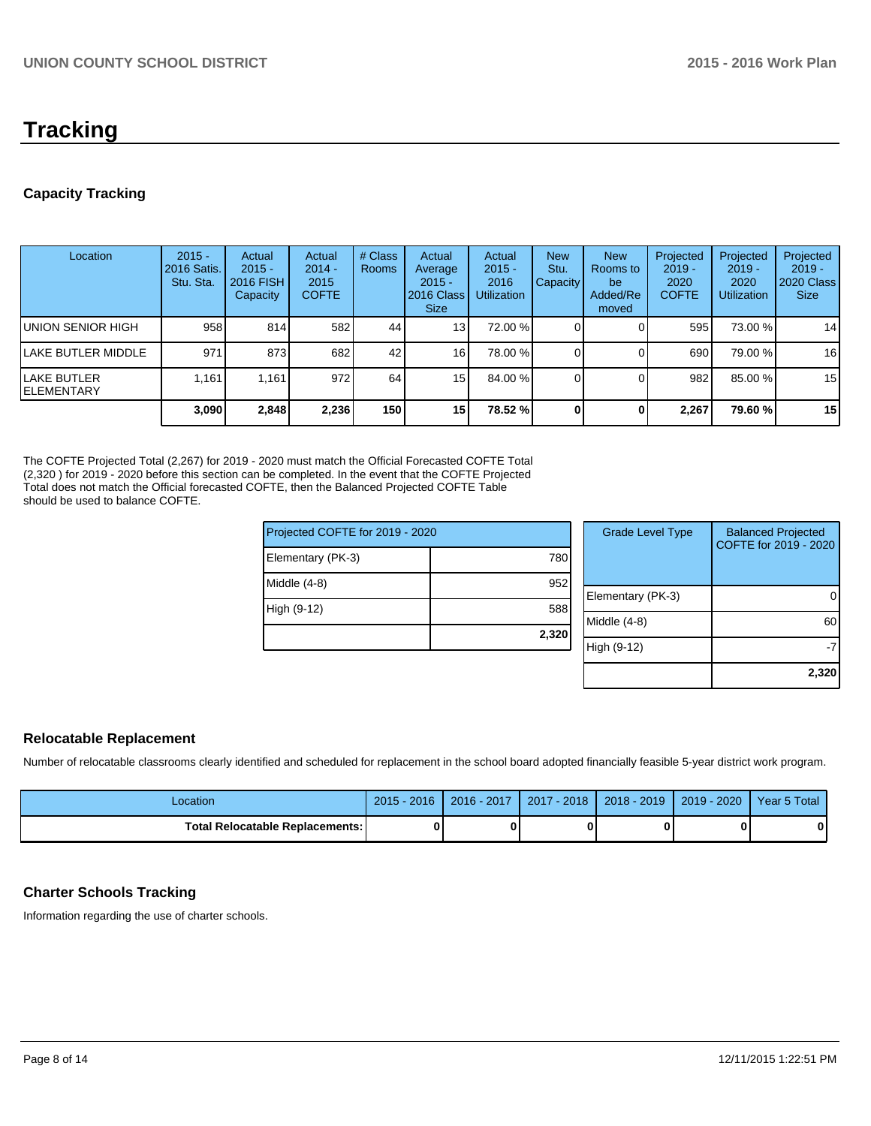# **Tracking**

## **Capacity Tracking**

| Location                           | $2015 -$<br><b>2016 Satis.</b><br>Stu. Sta. | Actual<br>$2015 -$<br><b>2016 FISH</b><br>Capacity | Actual<br>$2014 -$<br>2015<br><b>COFTE</b> | # Class<br><b>Rooms</b> | Actual<br>Average<br>$2015 -$<br>2016 Class<br><b>Size</b> | Actual<br>$2015 -$<br>2016<br><b>Utilization</b> | <b>New</b><br>Stu.<br><b>Capacity</b> | <b>New</b><br>Rooms to<br>be<br>Added/Re<br>moved | Projected<br>$2019 -$<br>2020<br><b>COFTE</b> | Projected<br>$2019 -$<br>2020<br><b>Utilization</b> | Projected<br>$2019 -$<br>2020 Class<br><b>Size</b> |
|------------------------------------|---------------------------------------------|----------------------------------------------------|--------------------------------------------|-------------------------|------------------------------------------------------------|--------------------------------------------------|---------------------------------------|---------------------------------------------------|-----------------------------------------------|-----------------------------------------------------|----------------------------------------------------|
| IUNION SENIOR HIGH                 | 958                                         | 814                                                | 582                                        | 44                      | 13                                                         | 72.00 %                                          |                                       |                                                   | 595                                           | 73.00 %                                             | 14                                                 |
| llake butler middle                | 971                                         | 873                                                | 682                                        | 42                      | 16 <sup>1</sup>                                            | 78.00 %                                          |                                       |                                                   | 690                                           | 79.00 %                                             | 16                                                 |
| llake butler<br><b>IELEMENTARY</b> | 1.161                                       | 1.161                                              | 972                                        | 64                      | 15                                                         | 84.00 %                                          |                                       |                                                   | 982                                           | 85.00 %                                             | 15                                                 |
|                                    | 3,090                                       | 2,848                                              | 2,236                                      | 150 l                   | 15                                                         | 78.52 %                                          |                                       |                                                   | 2.267                                         | 79.60%                                              | 15                                                 |

The COFTE Projected Total (2,267) for 2019 - 2020 must match the Official Forecasted COFTE Total (2,320 ) for 2019 - 2020 before this section can be completed. In the event that the COFTE Projected Total does not match the Official forecasted COFTE, then the Balanced Projected COFTE Table should be used to balance COFTE.

| Projected COFTE for 2019 - 2020 |       | <b>Grade Level Type</b> | <b>Balanced Projected</b><br>COFTE for 2019 - 2020 |
|---------------------------------|-------|-------------------------|----------------------------------------------------|
| Elementary (PK-3)               | 780   |                         |                                                    |
| Middle (4-8)                    | 952   |                         |                                                    |
|                                 |       | Elementary (PK-3)       | $\Omega$                                           |
| High (9-12)                     | 588   |                         |                                                    |
|                                 |       | Middle (4-8)            | 60                                                 |
|                                 | 2,320 |                         |                                                    |
|                                 |       | High (9-12)             | -7                                                 |
|                                 |       |                         |                                                    |
|                                 |       |                         | 2,320                                              |

## **Relocatable Replacement**

Number of relocatable classrooms clearly identified and scheduled for replacement in the school board adopted financially feasible 5-year district work program.

| Location                          | $2015 - 2016$ | 2016 - 2017 | $2017 - 2018$ | $2018 - 2019$ | $2019 - 2020$ | Year 5 Total |
|-----------------------------------|---------------|-------------|---------------|---------------|---------------|--------------|
| Total Relocatable Replacements: I |               |             |               |               |               |              |

## **Charter Schools Tracking**

Information regarding the use of charter schools.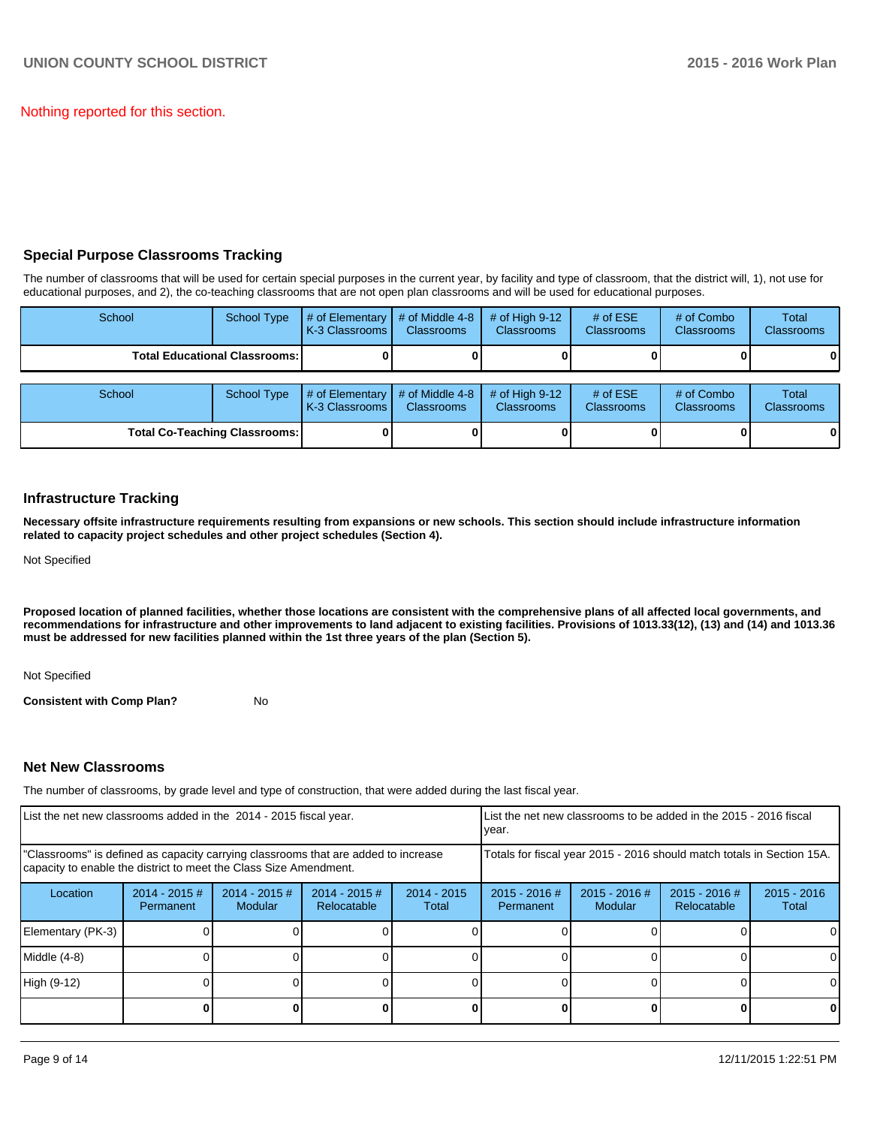Nothing reported for this section.

## **Special Purpose Classrooms Tracking**

The number of classrooms that will be used for certain special purposes in the current year, by facility and type of classroom, that the district will, 1), not use for educational purposes, and 2), the co-teaching classrooms that are not open plan classrooms and will be used for educational purposes.

| School | <b>School Type</b>                     | # of Elementary<br>K-3 Classrooms | # of Middle 4-8<br><b>Classrooms</b> | # of High $9-12$<br><b>Classrooms</b> | # of $ESE$<br>Classrooms        | # of Combo<br><b>Classrooms</b> | Total<br><b>Classrooms</b> |
|--------|----------------------------------------|-----------------------------------|--------------------------------------|---------------------------------------|---------------------------------|---------------------------------|----------------------------|
|        | <b>Total Educational Classrooms: I</b> |                                   |                                      |                                       |                                 |                                 | 01                         |
| School | <b>School Type</b>                     | # of Elementary<br>K-3 Classrooms | # of Middle 4-8<br><b>Classrooms</b> | # of High $9-12$<br><b>Classrooms</b> | # of $ESE$<br><b>Classrooms</b> | # of Combo<br><b>Classrooms</b> | Total<br><b>Classrooms</b> |
|        | <b>Total Co-Teaching Classrooms:</b>   |                                   |                                      |                                       |                                 |                                 | 01                         |

## **Infrastructure Tracking**

**Necessary offsite infrastructure requirements resulting from expansions or new schools. This section should include infrastructure information related to capacity project schedules and other project schedules (Section 4).**

Not Specified

**Proposed location of planned facilities, whether those locations are consistent with the comprehensive plans of all affected local governments, and recommendations for infrastructure and other improvements to land adjacent to existing facilities. Provisions of 1013.33(12), (13) and (14) and 1013.36 must be addressed for new facilities planned within the 1st three years of the plan (Section 5).**

Not Specified

**Consistent with Comp Plan?** No

### **Net New Classrooms**

The number of classrooms, by grade level and type of construction, that were added during the last fiscal year.

| List the net new classrooms added in the 2014 - 2015 fiscal year.                                                                                       |                              |                            |                                                                                                                      |  | List the net new classrooms to be added in the 2015 - 2016 fiscal<br>Ivear. |  |                                |                        |  |
|---------------------------------------------------------------------------------------------------------------------------------------------------------|------------------------------|----------------------------|----------------------------------------------------------------------------------------------------------------------|--|-----------------------------------------------------------------------------|--|--------------------------------|------------------------|--|
| "Classrooms" is defined as capacity carrying classrooms that are added to increase<br>capacity to enable the district to meet the Class Size Amendment. |                              |                            |                                                                                                                      |  | Totals for fiscal year 2015 - 2016 should match totals in Section 15A.      |  |                                |                        |  |
| Location                                                                                                                                                | $2014 - 2015$ #<br>Permanent | $2014 - 2015$ #<br>Modular | $2014 - 2015$ #<br>$2014 - 2015$<br>2015 - 2016 #<br>$2015 - 2016$ #<br>Modular<br>Relocatable<br>Permanent<br>Total |  |                                                                             |  | $2015 - 2016$ #<br>Relocatable | $2015 - 2016$<br>Total |  |
| Elementary (PK-3)                                                                                                                                       |                              |                            |                                                                                                                      |  |                                                                             |  |                                | $\Omega$               |  |
| Middle (4-8)                                                                                                                                            |                              |                            |                                                                                                                      |  |                                                                             |  |                                | $\Omega$               |  |
| High (9-12)                                                                                                                                             |                              |                            |                                                                                                                      |  |                                                                             |  |                                | $\Omega$               |  |
|                                                                                                                                                         |                              |                            |                                                                                                                      |  |                                                                             |  |                                | 0                      |  |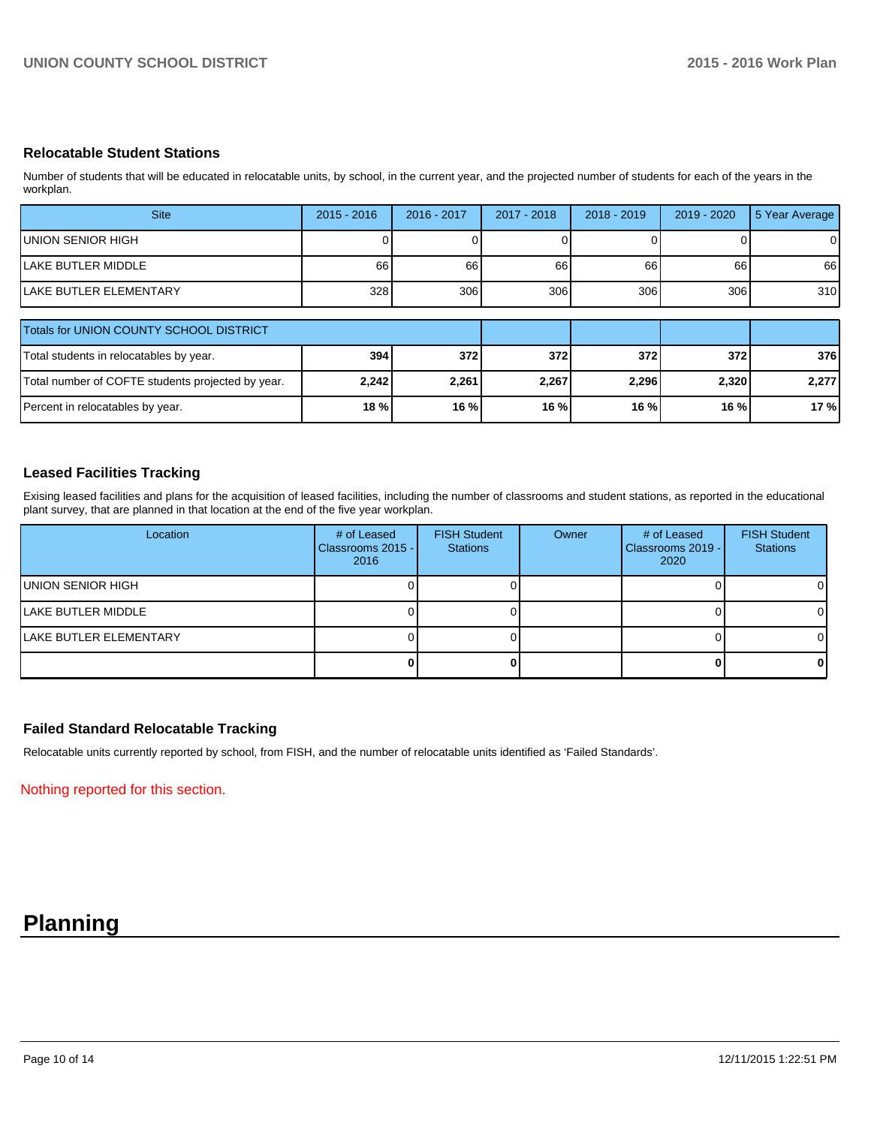## **Relocatable Student Stations**

Number of students that will be educated in relocatable units, by school, in the current year, and the projected number of students for each of the years in the workplan.

| <b>Site</b>                             | $2015 - 2016$ | 2016 - 2017 | 2017 - 2018 | $2018 - 2019$ | 2019 - 2020 | 5 Year Average |
|-----------------------------------------|---------------|-------------|-------------|---------------|-------------|----------------|
| UNION SENIOR HIGH                       |               |             |             |               |             |                |
| ILAKE BUTLER MIDDLE                     | 66            | 66          | 66          | 66            | 66          | 66             |
| <b>ILAKE BUTLER ELEMENTARY</b>          | 328           | 306         | 306         | 306           | 3061        | 310            |
|                                         |               |             |             |               |             |                |
| Totals for UNION COUNTY SCHOOL DISTRICT |               |             |             |               |             |                |

| Totals for UNION COUNTY SCHOOL DISTRICT           |         |       |       |        |        |       |
|---------------------------------------------------|---------|-------|-------|--------|--------|-------|
| Total students in relocatables by year.           | 394     | 372 l | 372 I | 372    | 372I   | 376   |
| Total number of COFTE students projected by year. | 2,242   | 2,261 | 2.267 | 2,296  | 2,320  | 2.277 |
| Percent in relocatables by year.                  | $18 \%$ | 16 %l | 16 %l | $16\%$ | 16 % I | 17 %  |

## **Leased Facilities Tracking**

Exising leased facilities and plans for the acquisition of leased facilities, including the number of classrooms and student stations, as reported in the educational plant survey, that are planned in that location at the end of the five year workplan.

| Location                       | # of Leased<br>Classrooms 2015 - I<br>2016 | <b>FISH Student</b><br><b>Stations</b> | Owner | # of Leased<br>Classrooms 2019 - I<br>2020 | <b>FISH Student</b><br><b>Stations</b> |
|--------------------------------|--------------------------------------------|----------------------------------------|-------|--------------------------------------------|----------------------------------------|
| <b>IUNION SENIOR HIGH</b>      |                                            |                                        |       |                                            | ΟI                                     |
| <b>ILAKE BUTLER MIDDLE</b>     |                                            |                                        |       |                                            | ΩI                                     |
| <b>ILAKE BUTLER ELEMENTARY</b> |                                            |                                        |       |                                            | ΟI                                     |
|                                |                                            |                                        |       |                                            | 01                                     |

### **Failed Standard Relocatable Tracking**

Relocatable units currently reported by school, from FISH, and the number of relocatable units identified as 'Failed Standards'.

Nothing reported for this section.

## **Planning**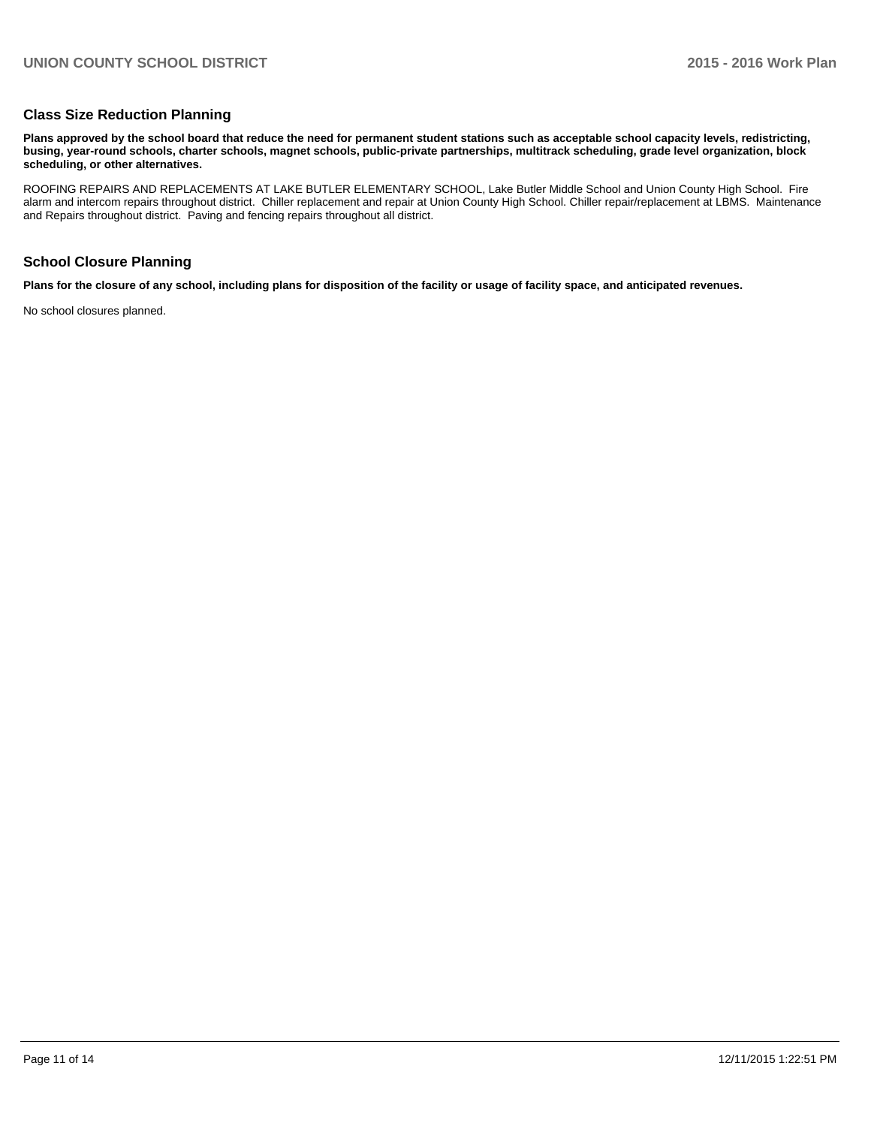#### **Class Size Reduction Planning**

**Plans approved by the school board that reduce the need for permanent student stations such as acceptable school capacity levels, redistricting, busing, year-round schools, charter schools, magnet schools, public-private partnerships, multitrack scheduling, grade level organization, block scheduling, or other alternatives.**

ROOFING REPAIRS AND REPLACEMENTS AT LAKE BUTLER ELEMENTARY SCHOOL, Lake Butler Middle School and Union County High School. Fire alarm and intercom repairs throughout district. Chiller replacement and repair at Union County High School. Chiller repair/replacement at LBMS. Maintenance and Repairs throughout district. Paving and fencing repairs throughout all district.

## **School Closure Planning**

**Plans for the closure of any school, including plans for disposition of the facility or usage of facility space, and anticipated revenues.**

No school closures planned.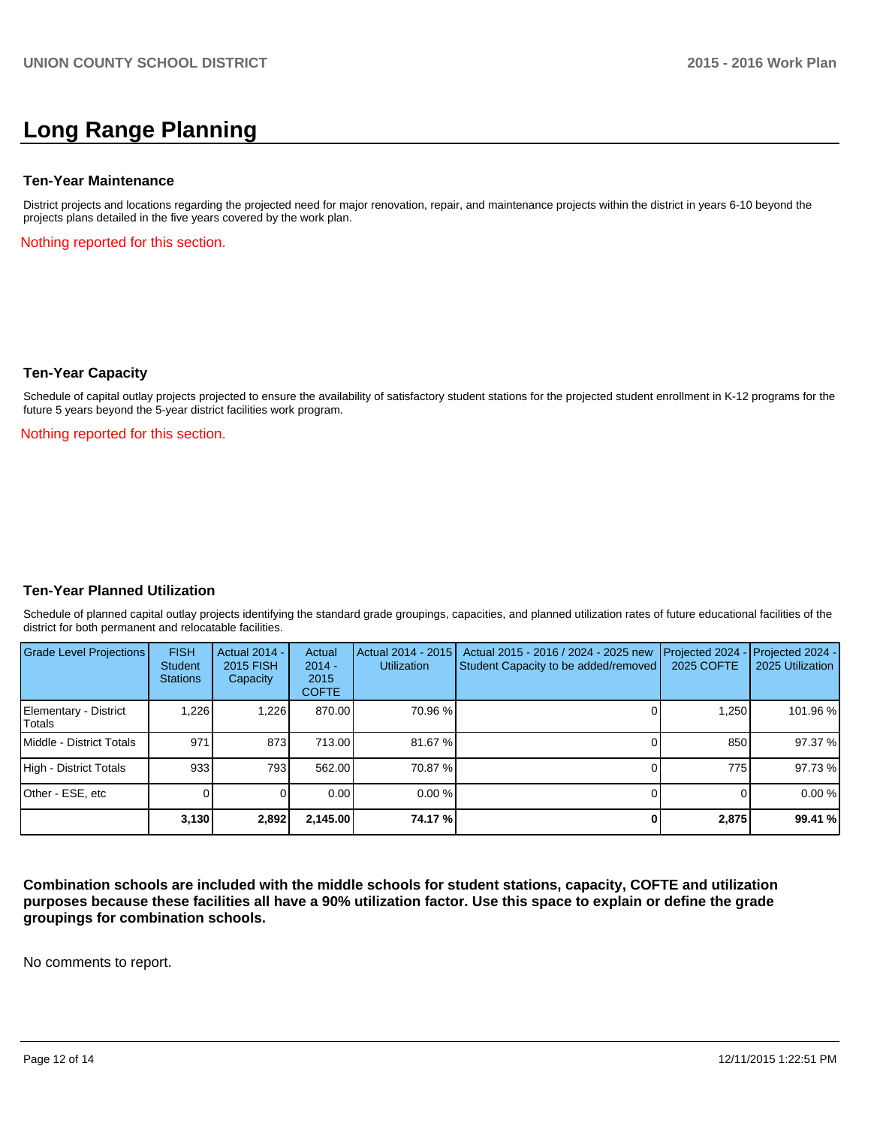# **Long Range Planning**

#### **Ten-Year Maintenance**

District projects and locations regarding the projected need for major renovation, repair, and maintenance projects within the district in years 6-10 beyond the projects plans detailed in the five years covered by the work plan.

Nothing reported for this section.

#### **Ten-Year Capacity**

Schedule of capital outlay projects projected to ensure the availability of satisfactory student stations for the projected student enrollment in K-12 programs for the future 5 years beyond the 5-year district facilities work program.

Nothing reported for this section.

### **Ten-Year Planned Utilization**

Schedule of planned capital outlay projects identifying the standard grade groupings, capacities, and planned utilization rates of future educational facilities of the district for both permanent and relocatable facilities.

| Grade Level Projections         | <b>FISH</b><br>Student<br><b>Stations</b> | <b>Actual 2014 -</b><br>2015 FISH<br>Capacity | Actual<br>$2014 -$<br>2015<br><b>COFTE</b> | Actual 2014 - 2015<br>Utilization | Actual 2015 - 2016 / 2024 - 2025 new<br>Student Capacity to be added/removed | Projected 2024<br><b>2025 COFTE</b> | $-$ Projected 2024 -<br>2025 Utilization |
|---------------------------------|-------------------------------------------|-----------------------------------------------|--------------------------------------------|-----------------------------------|------------------------------------------------------------------------------|-------------------------------------|------------------------------------------|
| Elementary - District<br>Totals | 1,226                                     | 1,226                                         | 870.00                                     | 70.96 %                           |                                                                              | 1,250                               | 101.96 %                                 |
| Middle - District Totals        | 971                                       | 873                                           | 713.00                                     | 81.67%                            |                                                                              | 850                                 | 97.37 %                                  |
| High - District Totals          | 933                                       | 793 I                                         | 562.00                                     | 70.87 %                           |                                                                              | 775                                 | 97.73 %                                  |
| Other - ESE, etc                |                                           |                                               | 0.00                                       | $0.00\%$                          |                                                                              |                                     | 0.00%                                    |
|                                 | 3,130                                     | 2,892                                         | 2,145.00                                   | 74.17 %                           |                                                                              | 2,875                               | 99.41 %                                  |

**Combination schools are included with the middle schools for student stations, capacity, COFTE and utilization purposes because these facilities all have a 90% utilization factor. Use this space to explain or define the grade groupings for combination schools.**

No comments to report.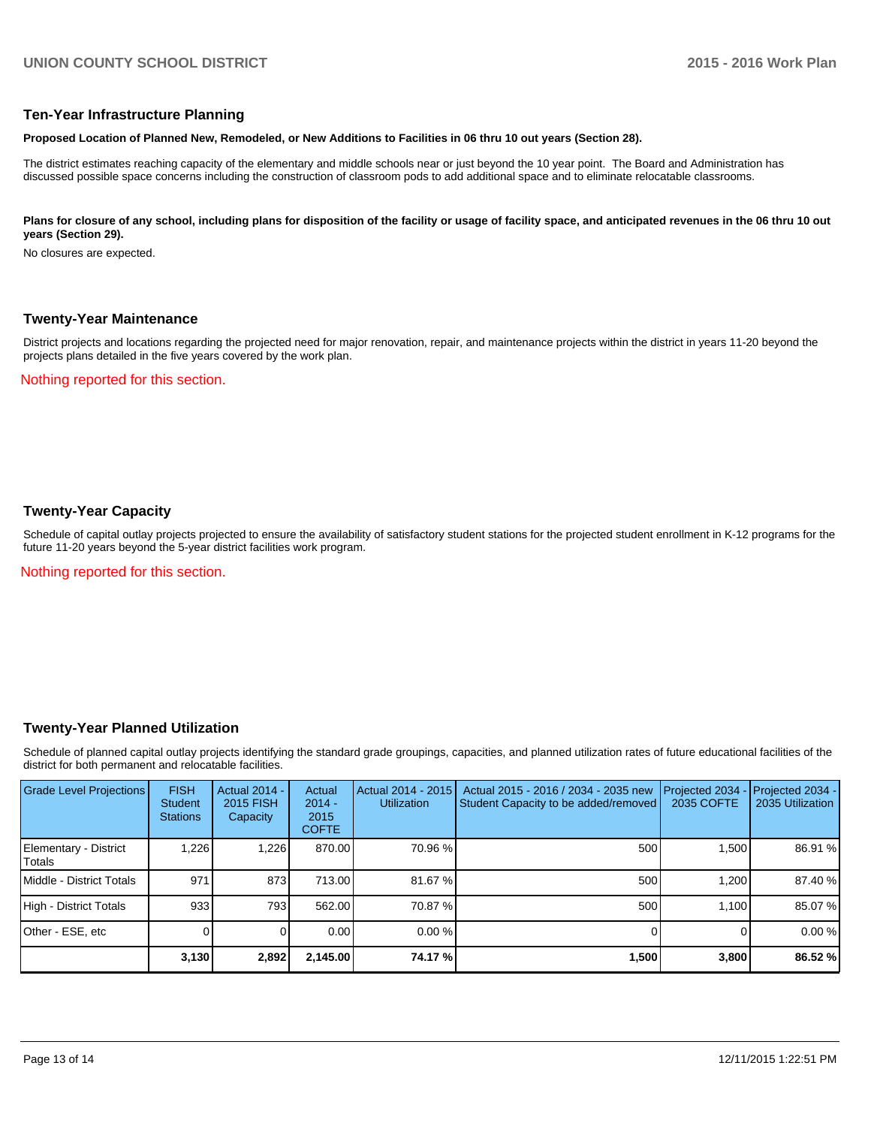#### **Ten-Year Infrastructure Planning**

#### **Proposed Location of Planned New, Remodeled, or New Additions to Facilities in 06 thru 10 out years (Section 28).**

The district estimates reaching capacity of the elementary and middle schools near or just beyond the 10 year point. The Board and Administration has discussed possible space concerns including the construction of classroom pods to add additional space and to eliminate relocatable classrooms.

#### Plans for closure of any school, including plans for disposition of the facility or usage of facility space, and anticipated revenues in the 06 thru 10 out **years (Section 29).**

No closures are expected.

#### **Twenty-Year Maintenance**

District projects and locations regarding the projected need for major renovation, repair, and maintenance projects within the district in years 11-20 beyond the projects plans detailed in the five years covered by the work plan.

Nothing reported for this section.

### **Twenty-Year Capacity**

Schedule of capital outlay projects projected to ensure the availability of satisfactory student stations for the projected student enrollment in K-12 programs for the future 11-20 years beyond the 5-year district facilities work program.

Nothing reported for this section.

### **Twenty-Year Planned Utilization**

Schedule of planned capital outlay projects identifying the standard grade groupings, capacities, and planned utilization rates of future educational facilities of the district for both permanent and relocatable facilities.

| <b>Grade Level Projections</b>  | <b>FISH</b><br><b>Student</b><br><b>Stations</b> | <b>Actual 2014 -</b><br>2015 FISH<br>Capacity | Actual<br>$2014 -$<br>2015<br><b>COFTE</b> | Actual 2014 - 2015<br><b>Utilization</b> | Actual 2015 - 2016 / 2034 - 2035 new<br>Student Capacity to be added/removed | Projected 2034<br>2035 COFTE | Projected 2034 -<br>2035 Utilization |
|---------------------------------|--------------------------------------------------|-----------------------------------------------|--------------------------------------------|------------------------------------------|------------------------------------------------------------------------------|------------------------------|--------------------------------------|
| Elementary - District<br>Totals | .226                                             | 1.226                                         | 870.00                                     | 70.96 %                                  | 500                                                                          | 1.500                        | 86.91 %                              |
| Middle - District Totals        | 971                                              | 873                                           | 713.00                                     | 81.67 %                                  | 500                                                                          | 1.200                        | 87.40 %                              |
| High - District Totals          | 933                                              | 793                                           | 562.00                                     | 70.87 %                                  | 500                                                                          | 1.100                        | 85.07 %                              |
| Other - ESE, etc                |                                                  |                                               | 0.00                                       | $0.00\%$                                 |                                                                              |                              | 0.00%                                |
|                                 | 3,130                                            | 2,892                                         | 2,145.00                                   | 74.17 %                                  | 1,500                                                                        | 3,800                        | 86.52 %                              |